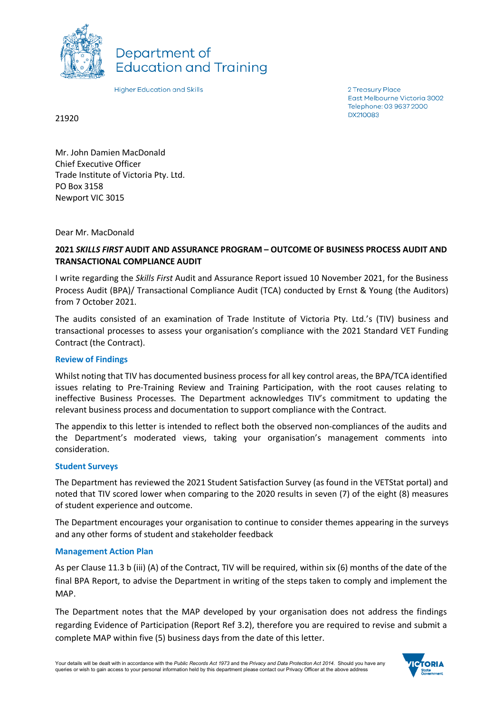

Department of **Education and Training** 

**Higher Education and Skills** 

2 Treasury Place East Melbourne Victoria 3002 Telephone: 03 9637 2000 **DX210083** 

21920

Mr. John Damien MacDonald Chief Executive Officer Trade Institute of Victoria Pty. Ltd. PO Box 3158 Newport VIC 3015

Dear Mr. MacDonald

# **2021** *SKILLS FIRST* **AUDIT AND ASSURANCE PROGRAM – OUTCOME OF BUSINESS PROCESS AUDIT AND TRANSACTIONAL COMPLIANCE AUDIT**

I write regarding the *Skills First* Audit and Assurance Report issued 10 November 2021, for the Business Process Audit (BPA)/ Transactional Compliance Audit (TCA) conducted by Ernst & Young (the Auditors) from 7 October 2021.

The audits consisted of an examination of Trade Institute of Victoria Pty. Ltd.'s (TIV) business and transactional processes to assess your organisation's compliance with the 2021 Standard VET Funding Contract (the Contract).

### **Review of Findings**

Whilst noting that TIV has documented business process for all key control areas, the BPA/TCA identified issues relating to Pre-Training Review and Training Participation, with the root causes relating to ineffective Business Processes. The Department acknowledges TIV's commitment to updating the relevant business process and documentation to support compliance with the Contract.

The appendix to this letter is intended to reflect both the observed non-compliances of the audits and the Department's moderated views, taking your organisation's management comments into consideration.

### **Student Surveys**

The Department has reviewed the 2021 Student Satisfaction Survey (as found in the VETStat portal) and noted that TIV scored lower when comparing to the 2020 results in seven (7) of the eight (8) measures of student experience and outcome.

The Department encourages your organisation to continue to consider themes appearing in the surveys and any other forms of student and stakeholder feedback

#### **Management Action Plan**

As per Clause 11.3 b (iii) (A) of the Contract, TIV will be required, within six (6) months of the date of the final BPA Report, to advise the Department in writing of the steps taken to comply and implement the MAP.

The Department notes that the MAP developed by your organisation does not address the findings regarding Evidence of Participation (Report Ref 3.2), therefore you are required to revise and submit a complete MAP within five (5) business days from the date of this letter.

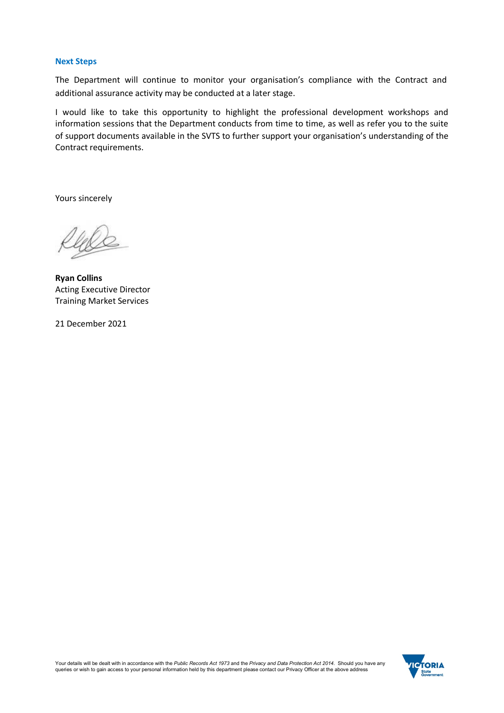### **Next Steps**

The Department will continue to monitor your organisation's compliance with the Contract and additional assurance activity may be conducted at a later stage.

I would like to take this opportunity to highlight the professional development workshops and information sessions that the Department conducts from time to time, as well as refer you to the suite of support documents available in the SVTS to further support your organisation's understanding of the Contract requirements.

Yours sincerely

**Ryan Collins** Acting Executive Director Training Market Services

21 December 2021